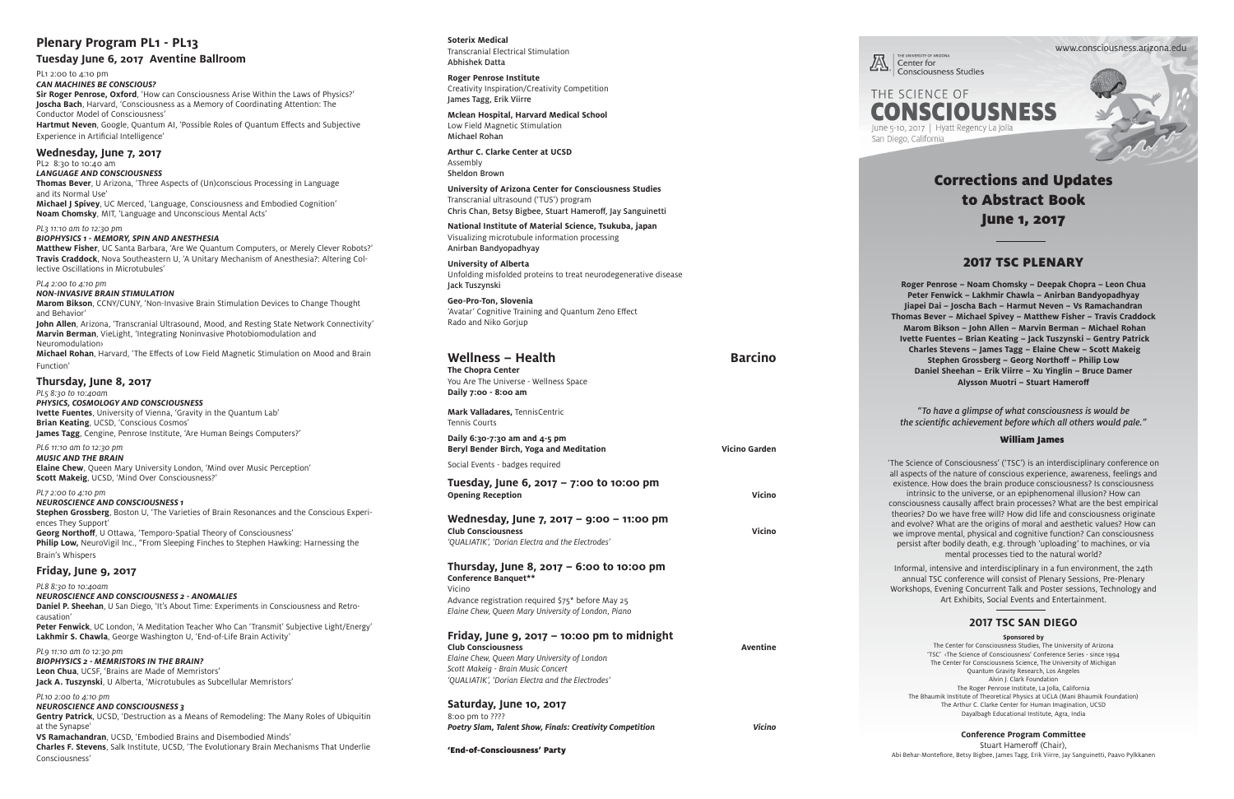# Corrections and Updates to Abstract Book June 1, 2017

# 2017 TSC PLENARY

**Roger Penrose – Noam Chomsky – Deepak Chopra – Leon Chua Peter Fenwick – Lakhmir Chawla – Anirban Bandyopadhyay Jiapei Dai – Joscha Bach – Harmut Neven – Vs Ramachandran Thomas Bever – Michael Spivey – Matthew Fisher – Travis Craddock Marom Bikson – John Allen – Marvin Berman – Michael Rohan Ivette Fuentes – Brian Keating – Jack Tuszynski – Gentry Patrick Charles Stevens – James Tagg – Elaine Chew – Scott Makeig Stephen Grossberg – Georg Northoff – Philip Low Daniel Sheehan – Erik Viirre – Xu Yinglin – Bruce Damer Alysson Muotri – Stuart Hameroff**

*"To have a glimpse of what consciousness is would be the scientific achievement before which all others would pale."* 

www.consciousness.arizona.edu

Center for **Consciousness Studies** 



## William James

'The Science of Consciousness' ('TSC') is an interdisciplinary conference on all aspects of the nature of conscious experience, awareness, feelings and existence. How does the brain produce consciousness? Is consciousness intrinsic to the universe, or an epiphenomenal illusion? How can consciousness causally affect brain processes? What are the best empirical theories? Do we have free will? How did life and consciousness originate and evolve? What are the origins of moral and aesthetic values? How can we improve mental, physical and cognitive function? Can consciousness persist after bodily death, e.g. through 'uploading' to machines, or via mental processes tied to the natural world?

Informal, intensive and interdisciplinary in a fun environment, the 24th annual TSC conference will consist of Plenary Sessions, Pre-Plenary Workshops, Evening Concurrent Talk and Poster sessions, Technology and Art Exhibits, Social Events and Entertainment.

**Ivette Fuentes**, University of Vienna, 'Gravity in the Quantum Lab' **Brian Keating**, UCSD, 'Conscious Cosmos' **James Tagg**, Cengine, Penrose Institute, 'Are Human Beings Computers?'

# **Plenary Program PL1 - PL13**

**Tuesday June 6, 2017 Aventine Ballroom** 

PL1 2:00 to 4:10 pm

## *CAN MACHINES BE CONSCIOUS?*

**Sir Roger Penrose, Oxford**, 'How can Consciousness Arise Within the Laws of Physics?' **Joscha Bach**, Harvard, 'Consciousness as a Memory of Coordinating Attention: The Conductor Model of Consciousness'

**Hartmut Neven**, Google, Quantum AI, 'Possible Roles of Quantum Effects and Subjective Experience in Artificial Intelligence'

# **Wednesday, June 7, 2017**

PL2 8:30 to 10:40 am *LANGUAGE AND CONSCIOUSNESS*

**Thomas Bever**, U Arizona, 'Three Aspects of (Un)conscious Processing in Language and its Normal Use' **Michael J Spivey**, UC Merced, 'Language, Consciousness and Embodied Cognition'

**Noam Chomsky**, MIT, 'Language and Unconscious Mental Acts'

#### *PL3 11:10 am to 12:30 pm*

# *BIOPHYSICS 1 - MEMORY, SPIN AND ANESTHESIA*

**Matthew Fisher**, UC Santa Barbara, 'Are We Quantum Computers, or Merely Clever Robots?' **Travis Craddock**, Nova Southeastern U, 'A Unitary Mechanism of Anesthesia?: Altering Col lective Oscillations in Microtubules'

*PL4 2:00 to 4:10 pm*

*NON-INVASIVE BRAIN STIMULATION*

**Marom Bikson**, CCNY/CUNY, 'Non-Invasive Brain Stimulation Devices to Change Thought and Behavior'

**John Allen**, Arizona, 'Transcranial Ultrasound, Mood, and Resting State Network Connectivity' **Marvin Berman**, VieLight, 'Integrating Noninvasive Photobiomodulation and Neuromodulation›

**Michael Rohan**, Harvard, 'The Effects of Low Field Magnetic Stimulation on Mood and Brain Function'

# **Thursday, June 8, 2017**

*PL5 8:30 to 10:40am* 

*PHYSICS, COSMOLOGY AND CONSCIOUSNESS*

*PL6 11:10 am to 12:30 pm MUSIC AND THE BRAIN*

**Elaine Chew**, Queen Mary University London, 'Mind over Music Perception' **Scott Makeig**, UCSD, 'Mind Over Consciousness?'

## *PL7 2:00 to 4:10 pm*

*NEUROSCIENCE AND CONSCIOUSNESS 1* **Stephen Grossberg**, Boston U, 'The Varieties of Brain Resonances and the Conscious Experi ences They Support' **Georg Northoff**, U Ottawa, 'Temporo-Spatial Theory of Consciousness' **Philip Low,** NeuroVigil Inc., "From Sleeping Finches to Stephen Hawking: Harnessing the Brain's Whispers

# **Friday, June 9, 2017**

*PL8 8:30 to 10:40am*

*NEUROSCIENCE AND CONSCIOUSNESS 2 - ANOMALIES* **Daniel P. Sheehan**, U San Diego, 'It's About Time: Experiments in Consciousness and Retro causation' **Peter Fenwick**, UC London, 'A Meditation Teacher Who Can 'Transmit' Subjective Light/Energy'

**Lakhmir S. Chawla**, George Washington U, 'End-of-Life Brain Activity'

*PL9 11:10 am to 12:30 pm BIOPHYSICS 2 - MEMRISTORS IN THE BRAIN?* **Leon Chua**, UCSF, 'Brains are Made of Memristors' **Jack A. Tuszynski**, U Alberta, 'Microtubules as Subcellular Memristors'

#### *PL10 2:00 to 4:10 pm*

*NEUROSCIENCE AND CONSCIOUSNESS 3* **Gentry Patrick**, UCSD, 'Destruction as a Means of Remodeling: The Many Roles of Ubiquitin at the Synapse'

**VS Ramachandran**, UCSD, 'Embodied Brains and Disembodied Minds' **Charles F. Stevens**, Salk Institute, UCSD, 'The Evolutionary Brain Mechanisms That Underlie Consciousness'

**Soterix Medical**  Transcranial Electrical Stimulation Abhishek Datta

**Roger Penrose Institute** Creativity Inspiration/Creativity Competition James Tagg, Erik Viirre

**Mclean Hospital, Harvard Medical School** Low Field Magnetic Stimulation Michael Rohan

**Arthur C. Clarke Center at UCSD** Assembly Sheldon Brown

**University of Arizona Center for Consciousness Studies** Transcranial ultrasound ('TUS') program Chris Chan, Betsy Bigbee, Stuart Hameroff, Jay Sanguinetti

**National Institute of Material Science, Tsukuba, japan** Visualizing microtubule information processing Anirban Bandyopadhyay

**University of Alberta** Unfolding misfolded proteins to treat neurodegenerative disease Jack Tuszynski

**Geo-Pro-Ton, Slovenia** 'Avatar' Cognitive Training and Quantum Zeno Effect Rado and Niko Gorjup

| <b>Wellness - Health</b><br>The Chopra Center<br>You Are The Universe - Wellness Space<br>Daily 7:00 - 8:00 am                                                                                                     | <b>Barcino</b>       |
|--------------------------------------------------------------------------------------------------------------------------------------------------------------------------------------------------------------------|----------------------|
| Mark Valladares, TennisCentric<br><b>Tennis Courts</b>                                                                                                                                                             |                      |
| Daily 6:30-7:30 am and $4-5$ pm<br>Beryl Bender Birch, Yoga and Meditation                                                                                                                                         | <b>Vicino Garden</b> |
| Social Events - badges required                                                                                                                                                                                    |                      |
| Tuesday, June 6, 2017 – 7:00 to 10:00 pm<br><b>Opening Reception</b>                                                                                                                                               | Vicino               |
| Wednesday, June 7, 2017 - 9:00 - 11:00 pm<br><b>Club Consciousness</b><br>'QUALIATIK', 'Dorian Electra and the Electrodes'                                                                                         | Vicino               |
| Thursday, June 8, 2017 – 6:00 to 10:00 pm<br>Conference Banquet**<br>Vicino                                                                                                                                        |                      |
| Advance registration required \$75* before May 25<br>Elaine Chew, Queen Mary University of London, Piano                                                                                                           |                      |
| Friday, June 9, 2017 – 10:00 pm to midnight<br><b>Club Consciousness</b><br>Elaine Chew, Queen Mary University of London<br>Scott Makeig - Brain Music Concert<br>'QUALIATIK', 'Dorian Electra and the Electrodes' | <b>Aventine</b>      |
| Saturday, June 10, 2017<br>8:00 pm to ????                                                                                                                                                                         |                      |
| Poetry Slam, Talent Show, Finals: Creativity Competition                                                                                                                                                           | <b>Vicino</b>        |



'End-of-Consciousness' Party

# **2017 TSC SAN DIEGO**

**Sponsored by** The Center for Consciousness Studies, The University of Arizona 'TSC' ‹The Science of Consciousness' Conference Series - since 1994 The Center for Consciousness Science, The University of Michigan Quantum Gravity Research, Los Angeles Alvin J. Clark Foundation The Roger Penrose Institute, La Jolla, California The Bhaumik Institute of Theoretical Physics at UCLA (Mani Bhaumik Foundation) The Arthur C. Clarke Center for Human Imagination, UCSD Dayalbagh Educational Institute, Agra, India

## **Conference Program Committee**

Stuart Hameroff (Chair), Abi Behar-Montefiore, Betsy Bigbee, James Tagg, Erik Viirre, Jay Sanguinetti, Paavo Pylkkanen